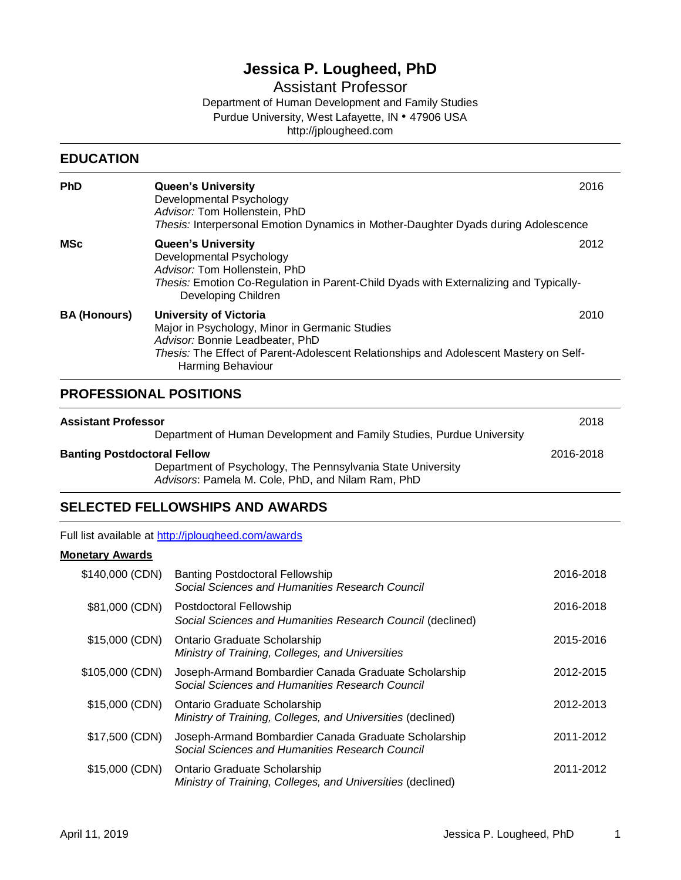# **Jessica P. Lougheed, PhD**

Assistant Professor

Department of Human Development and Family Studies Purdue University, West Lafayette, IN • 47906 USA http://jplougheed.com

### **EDUCATION**

| <b>PhD</b>          | <b>Queen's University</b><br>Developmental Psychology<br>Advisor: Tom Hollenstein, PhD<br>Thesis: Interpersonal Emotion Dynamics in Mother-Daughter Dyads during Adolescence                                                     | 2016 |
|---------------------|----------------------------------------------------------------------------------------------------------------------------------------------------------------------------------------------------------------------------------|------|
| MSc                 | <b>Queen's University</b><br>Developmental Psychology<br>Advisor: Tom Hollenstein, PhD<br>Thesis: Emotion Co-Regulation in Parent-Child Dyads with Externalizing and Typically-<br>Developing Children                           | 2012 |
| <b>BA (Honours)</b> | University of Victoria<br>Major in Psychology, Minor in Germanic Studies<br>Advisor: Bonnie Leadbeater, PhD<br>Thesis: The Effect of Parent-Adolescent Relationships and Adolescent Mastery on Self-<br><b>Harming Behaviour</b> | 2010 |

## **PROFESSIONAL POSITIONS**

| <b>Assistant Professor</b>                                                                                                                             | Department of Human Development and Family Studies, Purdue University | 2018      |
|--------------------------------------------------------------------------------------------------------------------------------------------------------|-----------------------------------------------------------------------|-----------|
| <b>Banting Postdoctoral Fellow</b><br>Department of Psychology, The Pennsylvania State University<br>Advisors: Pamela M. Cole, PhD, and Nilam Ram, PhD |                                                                       | 2016-2018 |

## **SELECTED FELLOWSHIPS AND AWARDS**

Full list available at [http://jplougheed.com/awards](https://jplougheed.com/awards/)

### **Monetary Awards**

| \$140,000 (CDN) | <b>Banting Postdoctoral Fellowship</b><br>Social Sciences and Humanities Research Council               | 2016-2018 |
|-----------------|---------------------------------------------------------------------------------------------------------|-----------|
| \$81,000 (CDN)  | Postdoctoral Fellowship<br>Social Sciences and Humanities Research Council (declined)                   | 2016-2018 |
| \$15,000 (CDN)  | Ontario Graduate Scholarship<br>Ministry of Training, Colleges, and Universities                        | 2015-2016 |
| \$105,000 (CDN) | Joseph-Armand Bombardier Canada Graduate Scholarship<br>Social Sciences and Humanities Research Council | 2012-2015 |
| \$15,000 (CDN)  | Ontario Graduate Scholarship<br>Ministry of Training, Colleges, and Universities (declined)             | 2012-2013 |
| \$17,500 (CDN)  | Joseph-Armand Bombardier Canada Graduate Scholarship<br>Social Sciences and Humanities Research Council | 2011-2012 |
| \$15,000 (CDN)  | Ontario Graduate Scholarship<br>Ministry of Training, Colleges, and Universities (declined)             | 2011-2012 |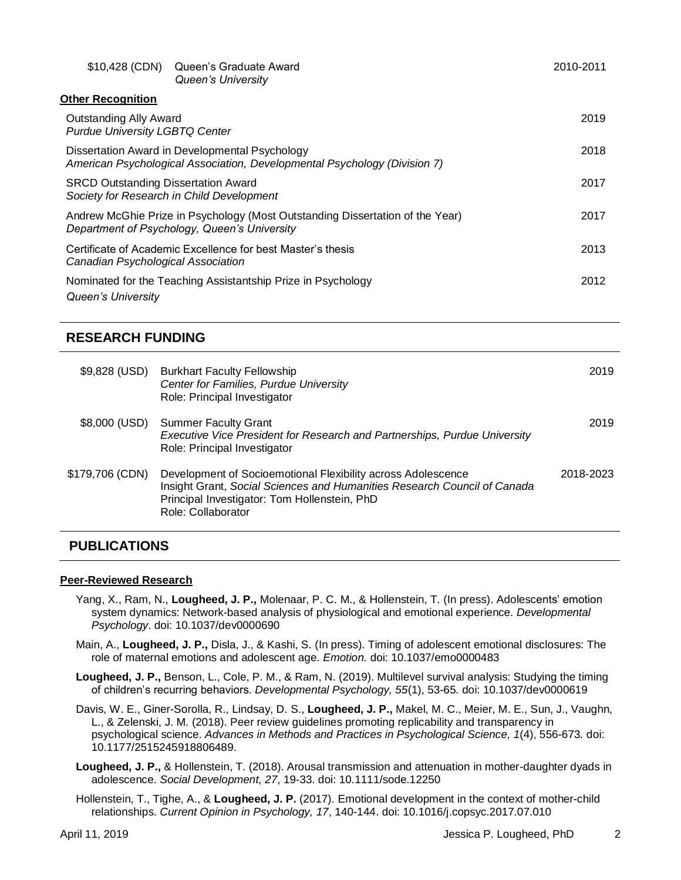| \$10,428 (CDN)                                                         | Queen's Graduate Award<br>Queen's University                                                                                  | 2010-2011 |
|------------------------------------------------------------------------|-------------------------------------------------------------------------------------------------------------------------------|-----------|
| <b>Other Recognition</b>                                               |                                                                                                                               |           |
| <b>Outstanding Ally Award</b><br><b>Purdue University LGBTQ Center</b> |                                                                                                                               | 2019      |
|                                                                        | Dissertation Award in Developmental Psychology<br>American Psychological Association, Developmental Psychology (Division 7)   | 2018      |
| <b>SRCD Outstanding Dissertation Award</b>                             | Society for Research in Child Development                                                                                     | 2017      |
|                                                                        | Andrew McGhie Prize in Psychology (Most Outstanding Dissertation of the Year)<br>Department of Psychology, Queen's University | 2017      |
| Canadian Psychological Association                                     | Certificate of Academic Excellence for best Master's thesis                                                                   | 2013      |
| Queen's University                                                     | Nominated for the Teaching Assistantship Prize in Psychology                                                                  | 2012      |

## **RESEARCH FUNDING**

| \$9,828 (USD)   | <b>Burkhart Faculty Fellowship</b><br>Center for Families, Purdue University<br>Role: Principal Investigator                                                                                                   | 2019      |
|-----------------|----------------------------------------------------------------------------------------------------------------------------------------------------------------------------------------------------------------|-----------|
| \$8,000 (USD)   | <b>Summer Faculty Grant</b><br><b>Executive Vice President for Research and Partnerships, Purdue University</b><br>Role: Principal Investigator                                                                | 2019      |
| \$179,706 (CDN) | Development of Socioemotional Flexibility across Adolescence<br>Insight Grant, Social Sciences and Humanities Research Council of Canada<br>Principal Investigator: Tom Hollenstein, PhD<br>Role: Collaborator | 2018-2023 |

## **PUBLICATIONS**

### **Peer-Reviewed Research**

- Yang, X., Ram, N., **Lougheed, J. P.,** Molenaar, P. C. M., & Hollenstein, T. (In press). Adolescents' emotion system dynamics: Network-based analysis of physiological and emotional experience. *Developmental Psychology*. doi: 10.1037/dev0000690
- Main, A., **Lougheed, J. P.,** Disla, J., & Kashi, S. (In press). Timing of adolescent emotional disclosures: The role of maternal emotions and adolescent age. *Emotion.* doi: 10.1037/emo0000483
- **Lougheed, J. P.,** Benson, L., Cole, P. M., & Ram, N. (2019). Multilevel survival analysis: Studying the timing of children's recurring behaviors. *Developmental Psychology, 55*(1), 53-65*.* doi: 10.1037/dev0000619
- Davis, W. E., Giner-Sorolla, R., Lindsay, D. S., **Lougheed, J. P.,** Makel, M. C., Meier, M. E., Sun, J., Vaughn, L., & Zelenski, J. M. (2018). Peer review guidelines promoting replicability and transparency in psychological science. *Advances in Methods and Practices in Psychological Science, 1*(4), 556-673*.* doi: 10.1177/2515245918806489.
- **Lougheed, J. P.,** & Hollenstein, T. (2018). Arousal transmission and attenuation in mother-daughter dyads in adolescence. *Social Development, 27*, 19-33. doi: 10.1111/sode.12250
- Hollenstein, T., Tighe, A., & **Lougheed, J. P.** (2017). Emotional development in the context of mother-child relationships. *Current Opinion in Psychology, 17*, 140-144. doi: 10.1016/j.copsyc.2017.07.010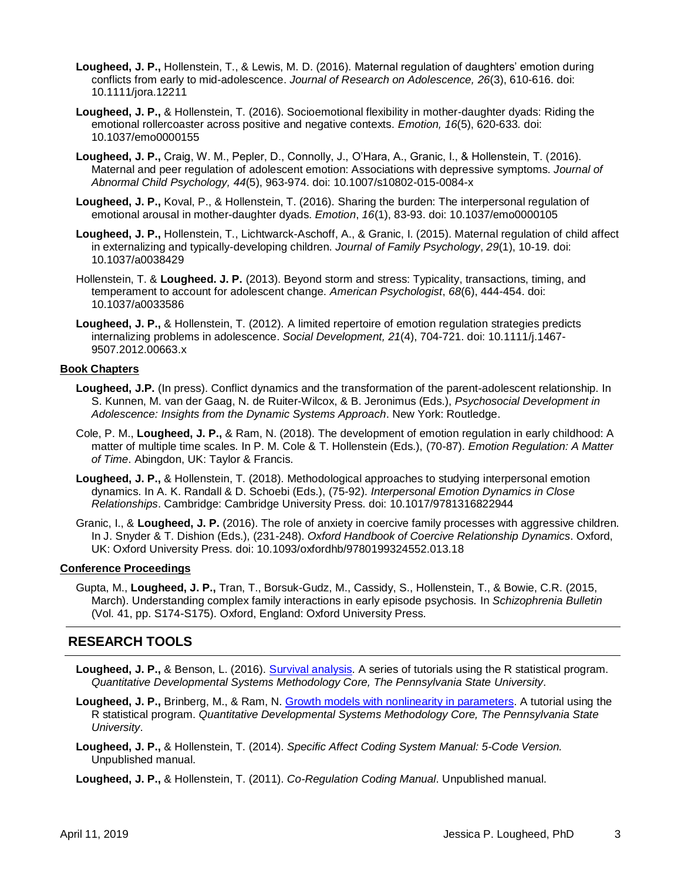- **Lougheed, J. P.,** Hollenstein, T., & Lewis, M. D. (2016). Maternal regulation of daughters' emotion during conflicts from early to mid-adolescence. *Journal of Research on Adolescence, 26*(3), 610-616. doi: 10.1111/jora.12211
- **Lougheed, J. P.,** & Hollenstein, T. (2016). Socioemotional flexibility in mother-daughter dyads: Riding the emotional rollercoaster across positive and negative contexts. *Emotion, 16*(5), 620-633*.* doi: 10.1037/emo0000155
- **Lougheed, J. P.,** Craig, W. M., Pepler, D., Connolly, J., O'Hara, A., Granic, I., & Hollenstein, T. (2016). Maternal and peer regulation of adolescent emotion: Associations with depressive symptoms. *Journal of Abnormal Child Psychology, 44*(5), 963-974. doi: 10.1007/s10802-015-0084-x
- **Lougheed, J. P.,** Koval, P., & Hollenstein, T. (2016). Sharing the burden: The interpersonal regulation of emotional arousal in mother-daughter dyads. *Emotion*, *16*(1), 83-93. doi: 10.1037/emo0000105
- **Lougheed, J. P.,** Hollenstein, T., Lichtwarck-Aschoff, A., & Granic, I. (2015). Maternal regulation of child affect in externalizing and typically-developing children. *Journal of Family Psychology*, *29*(1), 10-19. doi: 10.1037/a0038429
- Hollenstein, T. & **Lougheed. J. P.** (2013). Beyond storm and stress: Typicality, transactions, timing, and temperament to account for adolescent change. *American Psychologist*, *68*(6), 444-454. doi: 10.1037/a0033586
- **Lougheed, J. P.,** & Hollenstein, T. (2012). A limited repertoire of emotion regulation strategies predicts internalizing problems in adolescence. *Social Development, 21*(4), 704-721. doi: 10.1111/j.1467- 9507.2012.00663.x

#### **Book Chapters**

- **Lougheed, J.P.** (In press). Conflict dynamics and the transformation of the parent-adolescent relationship. In S. Kunnen, M. van der Gaag, N. de Ruiter-Wilcox, & B. Jeronimus (Eds.), *Psychosocial Development in Adolescence: Insights from the Dynamic Systems Approach*. New York: Routledge.
- Cole, P. M., **Lougheed, J. P.,** & Ram, N. (2018). The development of emotion regulation in early childhood: A matter of multiple time scales. In P. M. Cole & T. Hollenstein (Eds.), (70-87). *Emotion Regulation: A Matter of Time*. Abingdon, UK: Taylor & Francis.
- **Lougheed, J. P.,** & Hollenstein, T. (2018). Methodological approaches to studying interpersonal emotion dynamics. In A. K. Randall & D. Schoebi (Eds.), (75-92). *Interpersonal Emotion Dynamics in Close Relationships*. Cambridge: Cambridge University Press. doi: 10.1017/9781316822944
- Granic, I., & **Lougheed, J. P.** (2016). The role of anxiety in coercive family processes with aggressive children. In J. Snyder & T. Dishion (Eds.), (231-248). *Oxford Handbook of Coercive Relationship Dynamics*. Oxford, UK: Oxford University Press. doi: 10.1093/oxfordhb/9780199324552.013.18

### **Conference Proceedings**

Gupta, M., **Lougheed, J. P.,** Tran, T., Borsuk-Gudz, M., Cassidy, S., Hollenstein, T., & Bowie, C.R. (2015, March). Understanding complex family interactions in early episode psychosis. In *Schizophrenia Bulletin* (Vol. 41, pp. S174-S175). Oxford, England: Oxford University Press.

## **RESEARCH TOOLS**

- **Lougheed, J. P.,** & Benson, L. (2016). [Survival analysis.](https://quantdev.ssri.psu.edu/resources/survival-analysis) A series of tutorials using the R statistical program. *Quantitative Developmental Systems Methodology Core, The Pennsylvania State University*.
- **Lougheed, J. P.,** Brinberg, M., & Ram, N. [Growth models with nonlinearity in parameters.](https://quantdev.ssri.psu.edu/tutorials/growth-modeling-chapter-11-growth-models-nonlinearity-parameters) A tutorial using the R statistical program. *Quantitative Developmental Systems Methodology Core, The Pennsylvania State University*.
- **Lougheed, J. P.,** & Hollenstein, T. (2014). *Specific Affect Coding System Manual: 5-Code Version.*  Unpublished manual.

**Lougheed, J. P.,** & Hollenstein, T. (2011). *Co-Regulation Coding Manual*. Unpublished manual.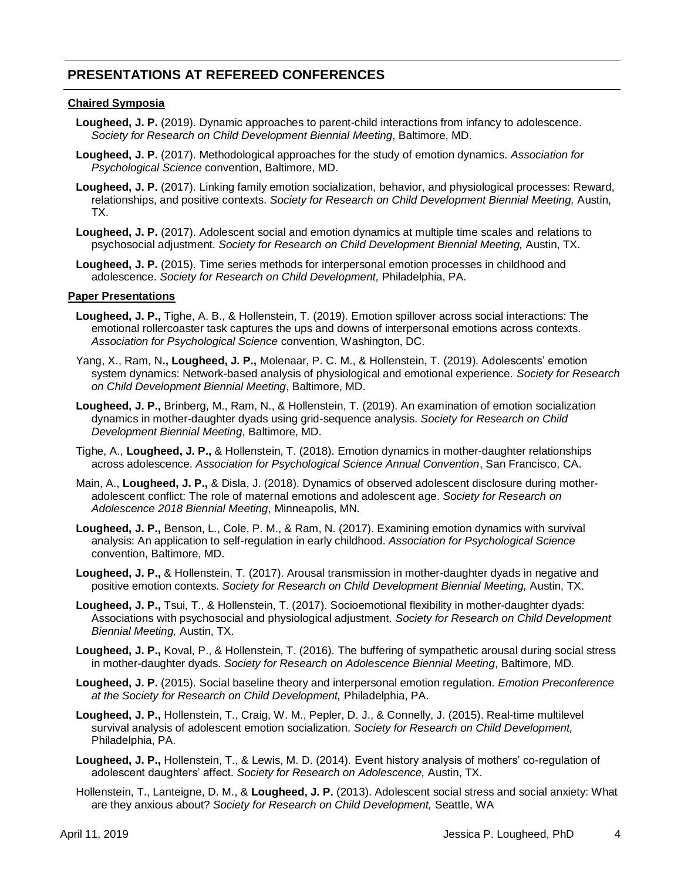## **PRESENTATIONS AT REFEREED CONFERENCES**

### **Chaired Symposia**

- Lougheed, J. P. (2019). Dynamic approaches to parent-child interactions from infancy to adolescence. *Society for Research on Child Development Biennial Meeting*, Baltimore, MD.
- **Lougheed, J. P.** (2017). Methodological approaches for the study of emotion dynamics. *Association for Psychological Science* convention, Baltimore, MD.
- **Lougheed, J. P.** (2017). Linking family emotion socialization, behavior, and physiological processes: Reward, relationships, and positive contexts. *Society for Research on Child Development Biennial Meeting,* Austin, TX.
- **Lougheed, J. P.** (2017). Adolescent social and emotion dynamics at multiple time scales and relations to psychosocial adjustment. *Society for Research on Child Development Biennial Meeting,* Austin, TX.
- **Lougheed, J. P.** (2015). Time series methods for interpersonal emotion processes in childhood and adolescence. *Society for Research on Child Development,* Philadelphia, PA.

#### **Paper Presentations**

- **Lougheed, J. P.,** Tighe, A. B., & Hollenstein, T. (2019). Emotion spillover across social interactions: The emotional rollercoaster task captures the ups and downs of interpersonal emotions across contexts. *Association for Psychological Science* convention, Washington, DC.
- Yang, X., Ram, N**., Lougheed, J. P.,** Molenaar, P. C. M., & Hollenstein, T. (2019). Adolescents' emotion system dynamics: Network-based analysis of physiological and emotional experience. *Society for Research on Child Development Biennial Meeting*, Baltimore, MD.
- **Lougheed, J. P.,** Brinberg, M., Ram, N., & Hollenstein, T. (2019). An examination of emotion socialization dynamics in mother-daughter dyads using grid-sequence analysis. *Society for Research on Child Development Biennial Meeting*, Baltimore, MD.
- Tighe, A., **Lougheed, J. P.,** & Hollenstein, T. (2018). Emotion dynamics in mother-daughter relationships across adolescence. *Association for Psychological Science Annual Convention*, San Francisco, CA.
- Main, A., **Lougheed, J. P.,** & Disla, J. (2018). Dynamics of observed adolescent disclosure during motheradolescent conflict: The role of maternal emotions and adolescent age. *Society for Research on Adolescence 2018 Biennial Meeting*, Minneapolis, MN*.*
- **Lougheed, J. P.,** Benson, L., Cole, P. M., & Ram, N. (2017). Examining emotion dynamics with survival analysis: An application to self-regulation in early childhood. *Association for Psychological Science*  convention, Baltimore, MD.
- **Lougheed, J. P.,** & Hollenstein, T. (2017). Arousal transmission in mother-daughter dyads in negative and positive emotion contexts. *Society for Research on Child Development Biennial Meeting,* Austin, TX.
- **Lougheed, J. P.,** Tsui, T., & Hollenstein, T. (2017). Socioemotional flexibility in mother-daughter dyads: Associations with psychosocial and physiological adjustment. *Society for Research on Child Development Biennial Meeting,* Austin, TX.
- **Lougheed, J. P.,** Koval, P., & Hollenstein, T. (2016). The buffering of sympathetic arousal during social stress in mother-daughter dyads. *Society for Research on Adolescence Biennial Meeting*, Baltimore, MD*.*
- **Lougheed, J. P.** (2015). Social baseline theory and interpersonal emotion regulation. *Emotion Preconference at the Society for Research on Child Development,* Philadelphia, PA.
- **Lougheed, J. P.,** Hollenstein, T., Craig, W. M., Pepler, D. J., & Connelly, J. (2015). Real-time multilevel survival analysis of adolescent emotion socialization. *Society for Research on Child Development,*  Philadelphia, PA.
- **Lougheed, J. P.,** Hollenstein, T., & Lewis, M. D. (2014). Event history analysis of mothers' co-regulation of adolescent daughters' affect. *Society for Research on Adolescence,* Austin, TX.
- Hollenstein, T., Lanteigne, D. M., & **Lougheed, J. P.** (2013). Adolescent social stress and social anxiety: What are they anxious about? *Society for Research on Child Development,* Seattle, WA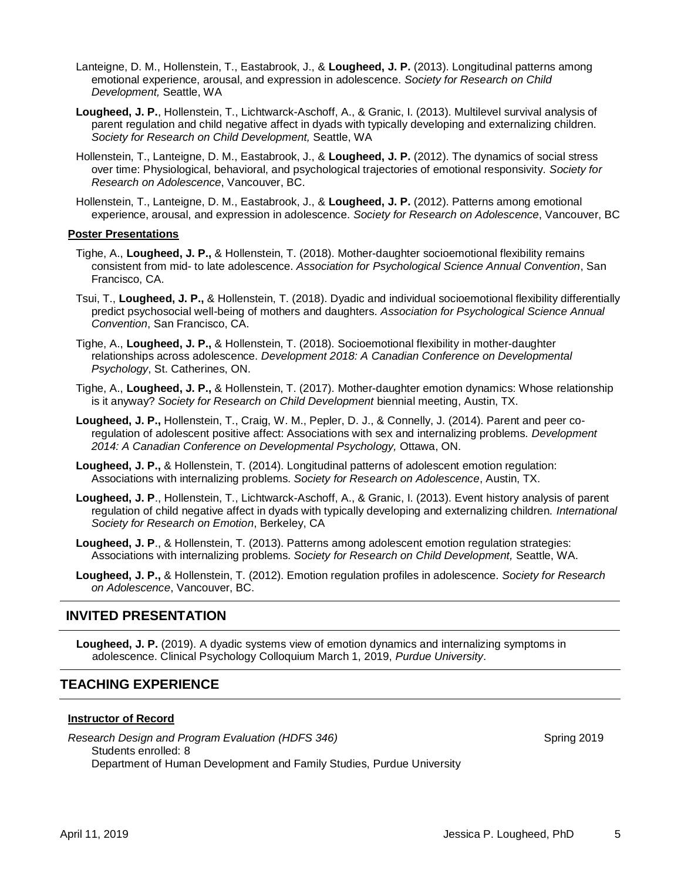- Lanteigne, D. M., Hollenstein, T., Eastabrook, J., & **Lougheed, J. P.** (2013). Longitudinal patterns among emotional experience, arousal, and expression in adolescence. *Society for Research on Child Development,* Seattle, WA
- **Lougheed, J. P.**, Hollenstein, T., Lichtwarck-Aschoff, A., & Granic, I. (2013). Multilevel survival analysis of parent regulation and child negative affect in dyads with typically developing and externalizing children. *Society for Research on Child Development,* Seattle, WA
- Hollenstein, T., Lanteigne, D. M., Eastabrook, J., & **Lougheed, J. P.** (2012). The dynamics of social stress over time: Physiological, behavioral, and psychological trajectories of emotional responsivity. *Society for Research on Adolescence*, Vancouver, BC.
- Hollenstein, T., Lanteigne, D. M., Eastabrook, J., & **Lougheed, J. P.** (2012). Patterns among emotional experience, arousal, and expression in adolescence. *Society for Research on Adolescence*, Vancouver, BC

#### **Poster Presentations**

- Tighe, A., **Lougheed, J. P.,** & Hollenstein, T. (2018). Mother-daughter socioemotional flexibility remains consistent from mid- to late adolescence. *Association for Psychological Science Annual Convention*, San Francisco, CA.
- Tsui, T., **Lougheed, J. P.,** & Hollenstein, T. (2018). Dyadic and individual socioemotional flexibility differentially predict psychosocial well-being of mothers and daughters. *Association for Psychological Science Annual Convention*, San Francisco, CA.
- Tighe, A., **Lougheed, J. P.,** & Hollenstein, T. (2018). Socioemotional flexibility in mother-daughter relationships across adolescence. *Development 2018: A Canadian Conference on Developmental Psychology*, St. Catherines, ON.
- Tighe, A., **Lougheed, J. P.,** & Hollenstein, T. (2017). Mother-daughter emotion dynamics: Whose relationship is it anyway? *Society for Research on Child Development* biennial meeting, Austin, TX.
- **Lougheed, J. P.,** Hollenstein, T., Craig, W. M., Pepler, D. J., & Connelly, J. (2014). Parent and peer coregulation of adolescent positive affect: Associations with sex and internalizing problems. *Development 2014: A Canadian Conference on Developmental Psychology,* Ottawa, ON.
- **Lougheed, J. P.,** & Hollenstein, T. (2014). Longitudinal patterns of adolescent emotion regulation: Associations with internalizing problems. *Society for Research on Adolescence*, Austin, TX.
- **Lougheed, J. P**., Hollenstein, T., Lichtwarck-Aschoff, A., & Granic, I. (2013). Event history analysis of parent regulation of child negative affect in dyads with typically developing and externalizing children. *International Society for Research on Emotion*, Berkeley, CA
- **Lougheed, J. P**., & Hollenstein, T. (2013). Patterns among adolescent emotion regulation strategies: Associations with internalizing problems. *Society for Research on Child Development,* Seattle, WA.
- **Lougheed, J. P.,** & Hollenstein, T. (2012). Emotion regulation profiles in adolescence. *Society for Research on Adolescence*, Vancouver, BC.

### **INVITED PRESENTATION**

**Lougheed, J. P.** (2019). A dyadic systems view of emotion dynamics and internalizing symptoms in adolescence. Clinical Psychology Colloquium March 1, 2019, *Purdue University*.

### **TEACHING EXPERIENCE**

### **Instructor of Record**

*Research Design and Program Evaluation (HDFS 346)* Spring 2019 Students enrolled: 8 Department of Human Development and Family Studies, Purdue University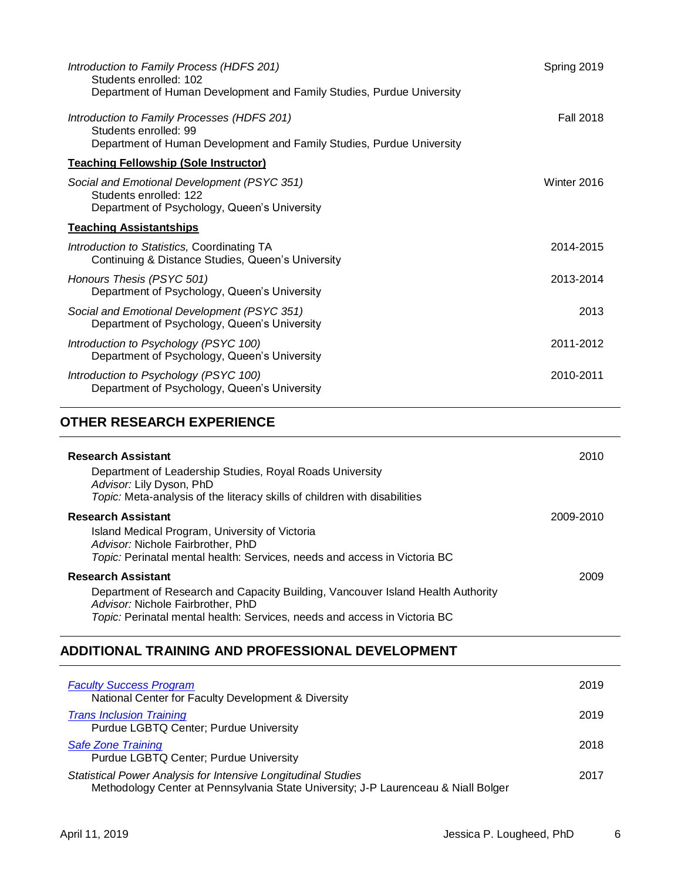| Introduction to Family Process (HDFS 201)<br>Students enrolled: 102                                                                           | Spring 2019      |
|-----------------------------------------------------------------------------------------------------------------------------------------------|------------------|
| Department of Human Development and Family Studies, Purdue University                                                                         |                  |
| Introduction to Family Processes (HDFS 201)<br>Students enrolled: 99<br>Department of Human Development and Family Studies, Purdue University | <b>Fall 2018</b> |
| <b>Teaching Fellowship (Sole Instructor)</b>                                                                                                  |                  |
| Social and Emotional Development (PSYC 351)<br>Students enrolled: 122<br>Department of Psychology, Queen's University                         | Winter 2016      |
| <b>Teaching Assistantships</b>                                                                                                                |                  |
| Introduction to Statistics, Coordinating TA<br>Continuing & Distance Studies, Queen's University                                              | 2014-2015        |
| Honours Thesis (PSYC 501)<br>Department of Psychology, Queen's University                                                                     | 2013-2014        |
| Social and Emotional Development (PSYC 351)<br>Department of Psychology, Queen's University                                                   | 2013             |
| Introduction to Psychology (PSYC 100)<br>Department of Psychology, Queen's University                                                         | 2011-2012        |
| Introduction to Psychology (PSYC 100)<br>Department of Psychology, Queen's University                                                         | 2010-2011        |

## **OTHER RESEARCH EXPERIENCE**

| <b>Research Assistant</b>                                                                                                                                                                                                      | 2010      |  |
|--------------------------------------------------------------------------------------------------------------------------------------------------------------------------------------------------------------------------------|-----------|--|
| Department of Leadership Studies, Royal Roads University<br>Advisor: Lily Dyson, PhD<br>Topic: Meta-analysis of the literacy skills of children with disabilities                                                              |           |  |
| <b>Research Assistant</b><br>Island Medical Program, University of Victoria<br>Advisor: Nichole Fairbrother, PhD<br>Topic: Perinatal mental health: Services, needs and access in Victoria BC                                  | 2009-2010 |  |
| <b>Research Assistant</b><br>Department of Research and Capacity Building, Vancouver Island Health Authority<br>Advisor: Nichole Fairbrother, PhD<br>Topic: Perinatal mental health: Services, needs and access in Victoria BC | 2009      |  |

## **ADDITIONAL TRAINING AND PROFESSIONAL DEVELOPMENT**

| <b>Faculty Success Program</b><br>National Center for Faculty Development & Diversity                                                               | 2019 |
|-----------------------------------------------------------------------------------------------------------------------------------------------------|------|
| <b>Trans Inclusion Training</b><br>Purdue LGBTQ Center; Purdue University                                                                           | 2019 |
| <b>Safe Zone Training</b><br>Purdue LGBTQ Center; Purdue University                                                                                 | 2018 |
| Statistical Power Analysis for Intensive Longitudinal Studies<br>Methodology Center at Pennsylvania State University; J-P Laurenceau & Niall Bolger | 2017 |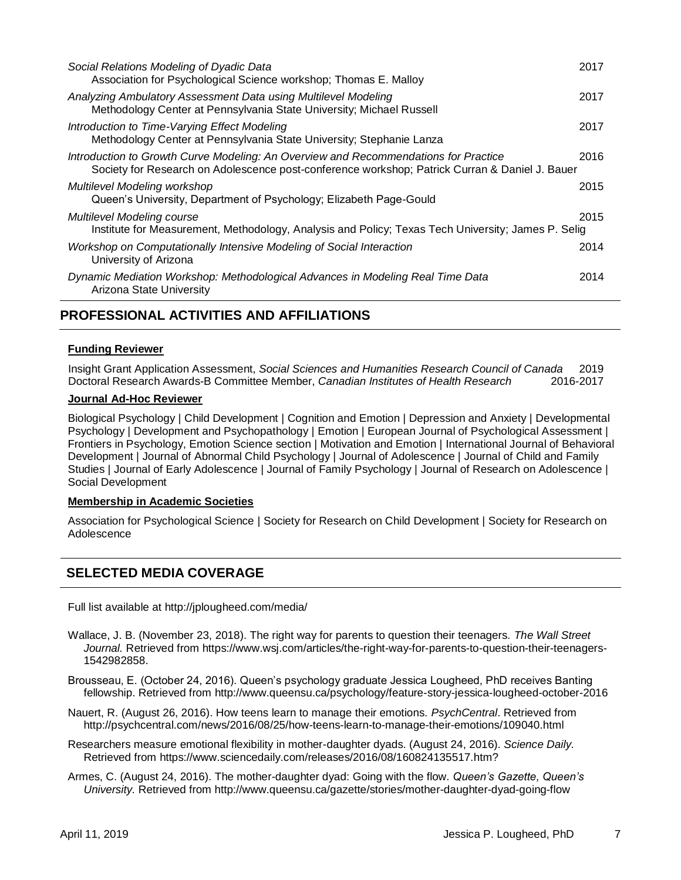| Social Relations Modeling of Dyadic Data<br>Association for Psychological Science workshop; Thomas E. Malloy                                                                          | 2017 |
|---------------------------------------------------------------------------------------------------------------------------------------------------------------------------------------|------|
| Analyzing Ambulatory Assessment Data using Multilevel Modeling<br>Methodology Center at Pennsylvania State University; Michael Russell                                                | 2017 |
| Introduction to Time-Varying Effect Modeling<br>Methodology Center at Pennsylvania State University; Stephanie Lanza                                                                  | 2017 |
| Introduction to Growth Curve Modeling: An Overview and Recommendations for Practice<br>Society for Research on Adolescence post-conference workshop; Patrick Curran & Daniel J. Bauer | 2016 |
| Multilevel Modeling workshop<br>Queen's University, Department of Psychology; Elizabeth Page-Gould                                                                                    | 2015 |
| Multilevel Modeling course<br>Institute for Measurement, Methodology, Analysis and Policy; Texas Tech University; James P. Selig                                                      | 2015 |
| Workshop on Computationally Intensive Modeling of Social Interaction<br>University of Arizona                                                                                         | 2014 |
| Dynamic Mediation Workshop: Methodological Advances in Modeling Real Time Data<br>Arizona State University                                                                            | 2014 |

## **PROFESSIONAL ACTIVITIES AND AFFILIATIONS**

### **Funding Reviewer**

Insight Grant Application Assessment, *Social Sciences and Humanities Research Council of Canada* 2019 Doctoral Research Awards-B Committee Member, *Canadian Institutes of Health Research* 2016-2017

### **Journal Ad-Hoc Reviewer**

Biological Psychology | Child Development | Cognition and Emotion | Depression and Anxiety | Developmental Psychology | Development and Psychopathology | Emotion | European Journal of Psychological Assessment | Frontiers in Psychology, Emotion Science section | Motivation and Emotion | International Journal of Behavioral Development | Journal of Abnormal Child Psychology | Journal of Adolescence | Journal of Child and Family Studies | Journal of Early Adolescence | Journal of Family Psychology | Journal of Research on Adolescence | Social Development

### **Membership in Academic Societies**

Association for Psychological Science | Society for Research on Child Development | Society for Research on Adolescence

## **SELECTED MEDIA COVERAGE**

Full list available at<http://jplougheed.com/media/>

- Wallace, J. B. (November 23, 2018). The right way for parents to question their teenagers. *The Wall Street Journal.* Retrieved from https://www.wsj.com/articles/the-right-way-for-parents-to-question-their-teenagers-1542982858.
- Brousseau, E. (October 24, 2016). Queen's psychology graduate Jessica Lougheed, PhD receives Banting fellowship. Retrieved from <http://www.queensu.ca/psychology/feature-story-jessica-lougheed-october-2016>
- Nauert, R. (August 26, 2016). How teens learn to manage their emotions. *PsychCentral*. Retrieved from http://psychcentral.com/news/2016/08/25/how-teens-learn-to-manage-their-emotions/109040.html
- Researchers measure emotional flexibility in mother-daughter dyads. (August 24, 2016). *Science Daily.*  Retrieved from https://www.sciencedaily.com/releases/2016/08/160824135517.htm?
- Armes, C. (August 24, 2016). The mother-daughter dyad: Going with the flow. *Queen's Gazette, Queen's University.* Retrieved from http://www.queensu.ca/gazette/stories/mother-daughter-dyad-going-flow